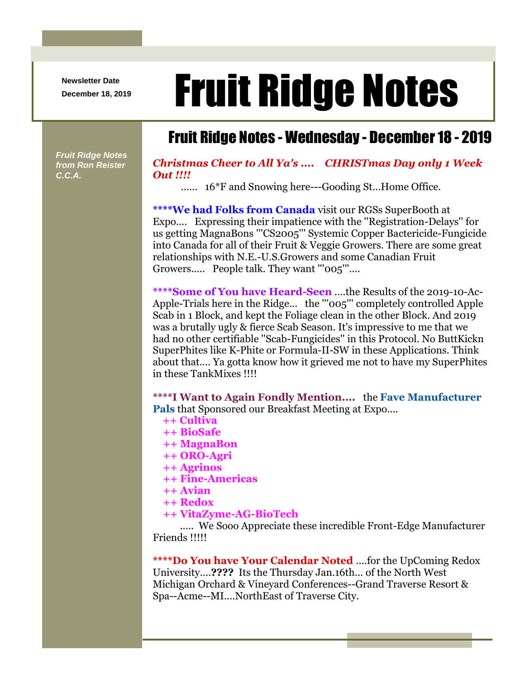**Newsletter Date**

## Newsletter Date **Fruit Ridge Notes**

## Fruit Ridge Notes - Wednesday - December 18 - 2019

*Fruit Ridge Notes from Ron Reister C.C.A.*

## *Christmas Cheer to All Ya's .... CHRISTmas Day only 1 Week Out !!!!*

...... 16\*F and Snowing here---Gooding St...Home Office.

**\*\*\*\*We had Folks from Canada** visit our RGSs SuperBooth at Expo.... Expressing their impatience with the ''Registration-Delays'' for us getting MagnaBons '''CS2005''' Systemic Copper Bactericide-Fungicide into Canada for all of their Fruit & Veggie Growers. There are some great relationships with N.E.-U.S.Growers and some Canadian Fruit Growers..... People talk. They want "'005"'....

**\*\*\*\*Some of You have Heard-Seen** ....the Results of the 2019-10-Ac-Apple-Trials here in the Ridge... the '''005''' completely controlled Apple Scab in 1 Block, and kept the Foliage clean in the other Block. And 2019 was a brutally ugly & fierce Scab Season. It's impressive to me that we had no other certifiable ''Scab-Fungicides'' in this Protocol. No ButtKickn SuperPhites like K-Phite or Formula-II-SW in these Applications. Think about that.... Ya gotta know how it grieved me not to have my SuperPhites in these TankMixes !!!!

**\*\*\*\*I Want to Again Fondly Mention....** the **Fave Manufacturer Pals** that Sponsored our Breakfast Meeting at Expo....

- **++ Cultiva**
- **++ BioSafe**
- **++ MagnaBon**
- **++ ORO-Agri**
- **++ Agrinos**
- **++ Fine-Americas**
- **++ Avian**
- **++ Redox**
- **++ VitaZyme-AG-BioTech**

..... We Sooo Appreciate these incredible Front-Edge Manufacturer Friends !!!!!

**\*\*\*\*Do You have Your Calendar Noted** ....for the UpComing Redox University....**????** Its the Thursday Jan.16th... of the North West Michigan Orchard & Vineyard Conferences--Grand Traverse Resort & Spa--Acme--MI....NorthEast of Traverse City.